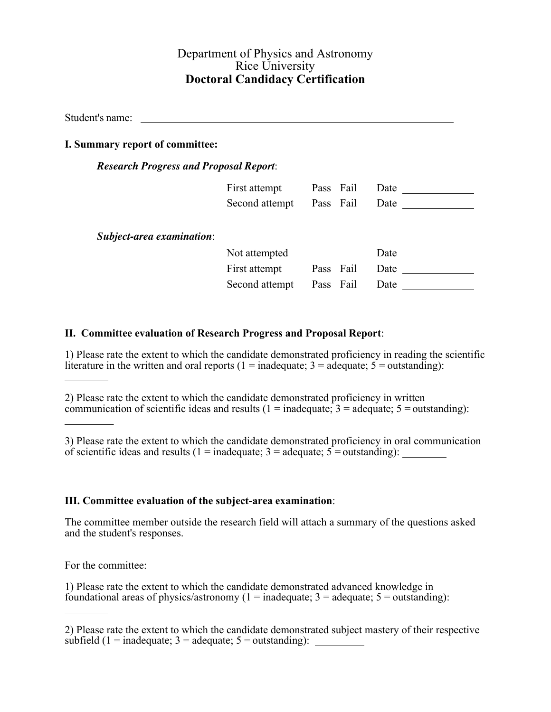## Department of Physics and Astronomy Rice University **Doctoral Candidacy Certification**

Student's name:

## **I. Summary report of committee:**

#### *Research Progress and Proposal Report*:

|                           | First attempt  | Pass Fail | Date |
|---------------------------|----------------|-----------|------|
|                           | Second attempt | Pass Fail | Date |
|                           |                |           |      |
| Subject-area examination: |                |           |      |
|                           | Not attempted  |           | Date |
|                           | First attempt  | Pass Fail | Date |
|                           | Second attempt | Pass Fail | Date |
|                           |                |           |      |

## **II. Committee evaluation of Research Progress and Proposal Report**:

1) Please rate the extent to which the candidate demonstrated proficiency in reading the scientific literature in the written and oral reports (1 = inadequate;  $3 =$  adequate;  $5 =$  outstanding):

2) Please rate the extent to which the candidate demonstrated proficiency in written communication of scientific ideas and results ( $1 =$  inadequate;  $3 =$  adequate;  $5 =$  outstanding):

3) Please rate the extent to which the candidate demonstrated proficiency in oral communication of scientific ideas and results (1 = inadequate;  $3$  = adequate;  $5$  = outstanding):

#### **III. Committee evaluation of the subject-area examination**:

The committee member outside the research field will attach a summary of the questions asked and the student's responses.

For the committee:

1) Please rate the extent to which the candidate demonstrated advanced knowledge in foundational areas of physics/astronomy ( $1 =$  inadequate;  $3 =$  adequate;  $5 =$  outstanding):

<sup>2)</sup> Please rate the extent to which the candidate demonstrated subject mastery of their respective subfield  $(1 = \text{inadequate}; 3 = \text{adequate}; 5 = \text{outstanding})$ :